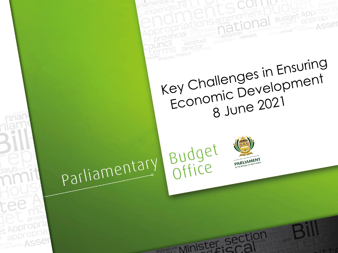member<sub>affected</sub> financi Key Challenges in Ensuring Economic Development 8 June 2021

**Budget Appropr** 

appropriat ASSer



Budget

**ROISIALURE A AIMIGTET SECTION** 

Parliamentary

t Appropria appropria

ervice ASSer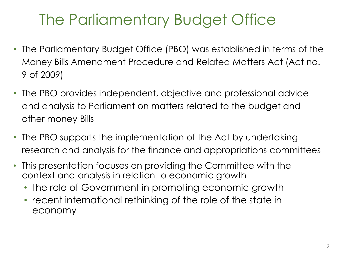## The Parliamentary Budget Office

- The Parliamentary Budget Office (PBO) was established in terms of the Money Bills Amendment Procedure and Related Matters Act (Act no. 9 of 2009)
- The PBO provides independent, objective and professional advice and analysis to Parliament on matters related to the budget and other money Bills
- The PBO supports the implementation of the Act by undertaking research and analysis for the finance and appropriations committees
- This presentation focuses on providing the Committee with the context and analysis in relation to economic growth-
	- the role of Government in promoting economic growth
	- recent international rethinking of the role of the state in economy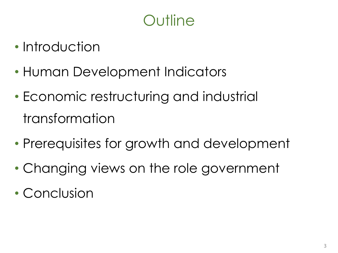## **Outline**

- Introduction
- Human Development Indicators
- Economic restructuring and industrial transformation
- Prerequisites for growth and development
- Changing views on the role government
- Conclusion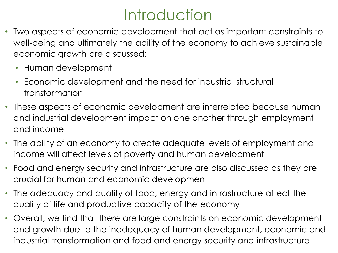## **Introduction**

- Two aspects of economic development that act as important constraints to well-being and ultimately the ability of the economy to achieve sustainable economic growth are discussed:
	- Human development
	- Economic development and the need for industrial structural transformation
- These aspects of economic development are interrelated because human and industrial development impact on one another through employment and income
- The ability of an economy to create adequate levels of employment and income will affect levels of poverty and human development
- Food and energy security and infrastructure are also discussed as they are crucial for human and economic development
- The adequacy and quality of food, energy and infrastructure affect the quality of life and productive capacity of the economy
- Overall, we find that there are large constraints on economic development and growth due to the inadequacy of human development, economic and industrial transformation and food and energy security and infrastructure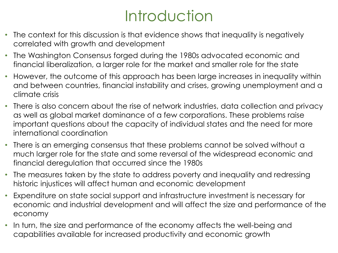## Introduction

- The context for this discussion is that evidence shows that inequality is negatively correlated with growth and development
- The Washington Consensus forged during the 1980s advocated economic and financial liberalization, a larger role for the market and smaller role for the state
- However, the outcome of this approach has been large increases in inequality within and between countries, financial instability and crises, growing unemployment and a climate crisis
- There is also concern about the rise of network industries, data collection and privacy as well as global market dominance of a few corporations. These problems raise important questions about the capacity of individual states and the need for more international coordination
- There is an emerging consensus that these problems cannot be solved without a much larger role for the state and some reversal of the widespread economic and financial deregulation that occurred since the 1980s
- The measures taken by the state to address poverty and inequality and redressing historic injustices will affect human and economic development
- Expenditure on state social support and infrastructure investment is necessary for economic and industrial development and will affect the size and performance of the economy
- In turn, the size and performance of the economy affects the well-being and capabilities available for increased productivity and economic growth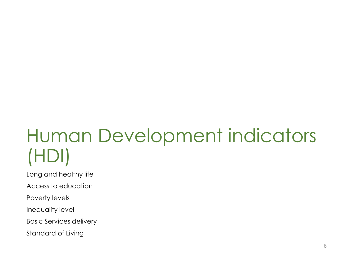# Human Development indicators (HDI)

Long and healthy life

Access to education

Poverty levels

Inequality level

Basic Services delivery

Standard of Living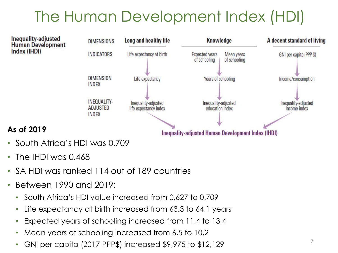## The Human Development Index (HDI)



- South Africa's HDI was 0.709
- The IHDI was 0.468
- SA HDI was ranked 114 out of 189 countries
- Between 1990 and 2019:
	- South Africa's HDI value increased from 0.627 to 0.709
	- Life expectancy at birth increased from 63,3 to 64,1 years
	- Expected years of schooling increased from 11,4 to 13,4
	- Mean years of schooling increased from 6,5 to 10,2
	- GNI per capita (2017 PPP\$) increased \$9,975 to \$12,129  $^7$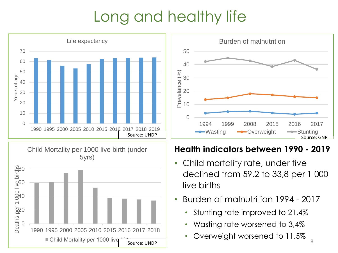## Long and healthy life

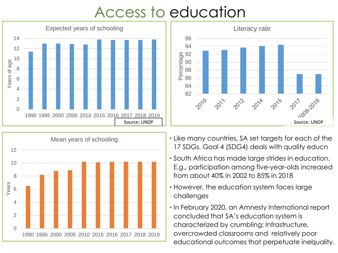### Access to education







- Like many countries, SA set targets for each of the 17 SDGs. Goal 4 (SDG4) deals with quality educn
- South Africa has made large strides in education. E.g., participation among five-year-olds increased from about 40% in 2002 to 85% in 2018
- However, the education system faces large challenges
- In February 2020, an Amnesty International report concluded that SA's education system is characterized by crumbling; Infrastructure, overcrowded classrooms and relatively poor educational outcomes that perpetuate inequality.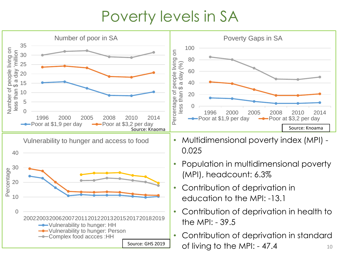### Poverty levels in SA

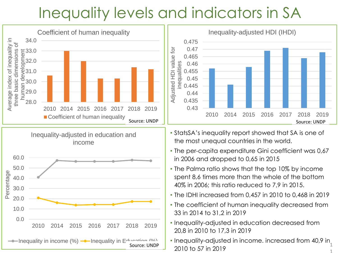## Inequality levels and indicators in SA

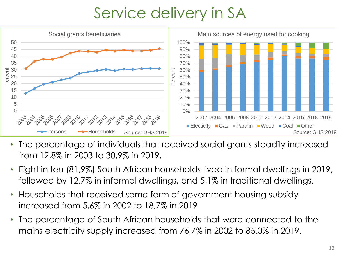## Service delivery in SA



- The percentage of individuals that received social grants steadily increased from 12,8% in 2003 to 30,9% in 2019.
- Eight in ten (81,9%) South African households lived in formal dwellings in 2019, followed by 12,7% in informal dwellings, and 5,1% in traditional dwellings.
- Households that received some form of government housing subsidy increased from 5,6% in 2002 to 18,7% in 2019
- The percentage of South African households that were connected to the mains electricity supply increased from 76,7% in 2002 to 85,0% in 2019.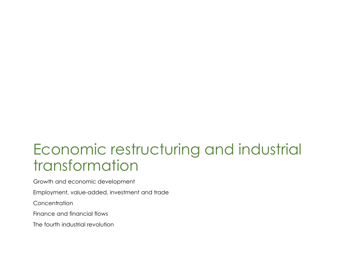### Economic restructuring and industrial transformation

Growth and economic development

Employment, value-added, investment and trade

**Concentration** 

Finance and financial flows

The fourth industrial revolution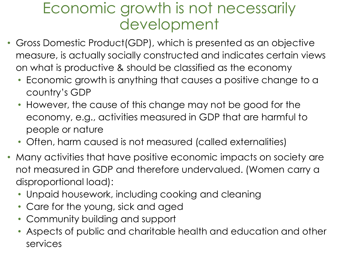### Economic growth is not necessarily development

- Gross Domestic Product(GDP), which is presented as an objective measure, is actually socially constructed and indicates certain views on what is productive & should be classified as the economy
	- Economic growth is anything that causes a positive change to a country's GDP
	- However, the cause of this change may not be good for the economy, e.g., activities measured in GDP that are harmful to people or nature
	- Often, harm caused is not measured (called externalities)
- Many activities that have positive economic impacts on society are not measured in GDP and therefore undervalued. (Women carry a disproportional load):
	- Unpaid housework, including cooking and cleaning
	- Care for the young, sick and aged
	- Community building and support
	- Aspects of public and charitable health and education and other services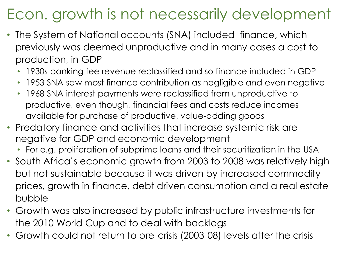## Econ. growth is not necessarily development

- The System of National accounts (SNA) included finance, which previously was deemed unproductive and in many cases a cost to production, in GDP
	- 1930s banking fee revenue reclassified and so finance included in GDP
	- 1953 SNA saw most finance contribution as negligible and even negative
	- 1968 SNA interest payments were reclassified from unproductive to productive, even though, financial fees and costs reduce incomes available for purchase of productive, value-adding goods
- Predatory finance and activities that increase systemic risk are negative for GDP and economic development
	- For e.g. proliferation of subprime loans and their securitization in the USA
- South Africa's economic growth from 2003 to 2008 was relatively high but not sustainable because it was driven by increased commodity prices, growth in finance, debt driven consumption and a real estate bubble
- Growth was also increased by public infrastructure investments for the 2010 World Cup and to deal with backlogs
- Growth could not return to pre-crisis (2003-08) levels after the crisis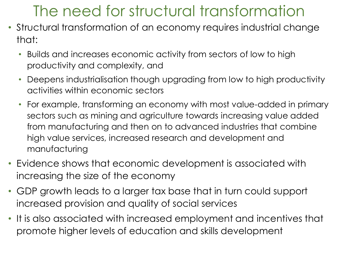### The need for structural transformation

- Structural transformation of an economy requires industrial change that:
	- Builds and increases economic activity from sectors of low to high productivity and complexity, and
	- Deepens industrialisation though upgrading from low to high productivity activities within economic sectors
	- For example, transforming an economy with most value-added in primary sectors such as mining and agriculture towards increasing value added from manufacturing and then on to advanced industries that combine high value services, increased research and development and manufacturing
- Evidence shows that economic development is associated with increasing the size of the economy
- GDP growth leads to a larger tax base that in turn could support increased provision and quality of social services
- It is also associated with increased employment and incentives that promote higher levels of education and skills development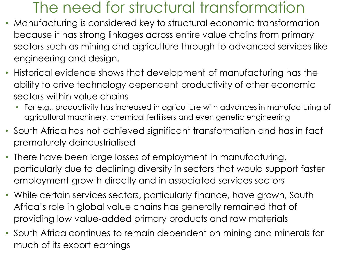### The need for structural transformation

- Manufacturing is considered key to structural economic transformation because it has strong linkages across entire value chains from primary sectors such as mining and agriculture through to advanced services like engineering and design.
- Historical evidence shows that development of manufacturing has the ability to drive technology dependent productivity of other economic sectors within value chains
	- For e.g., productivity has increased in agriculture with advances in manufacturing of agricultural machinery, chemical fertilisers and even genetic engineering
- South Africa has not achieved significant transformation and has in fact prematurely deindustrialised
- There have been large losses of employment in manufacturing, particularly due to declining diversity in sectors that would support faster employment growth directly and in associated services sectors
- While certain services sectors, particularly finance, have grown, South Africa's role in global value chains has generally remained that of providing low value-added primary products and raw materials
- South Africa continues to remain dependent on mining and minerals for much of its export earnings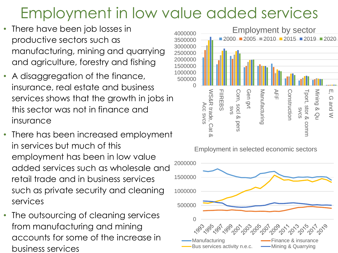## Employment in low value added services

- There have been job losses in productive sectors such as manufacturing, mining and quarrying and agriculture, forestry and fishing
- A disaggregation of the finance, insurance, real estate and business services shows that the growth in jobs in this sector was not in finance and insurance
- There has been increased employment in services but much of this employment has been in low value added services such as wholesale and retail trade and in business services such as private security and cleaning services
- The outsourcing of cleaning services from manufacturing and mining accounts for some of the increase in business services



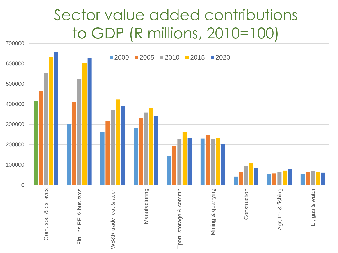### Sector value added contributions to GDP (R millions, 2010=100)

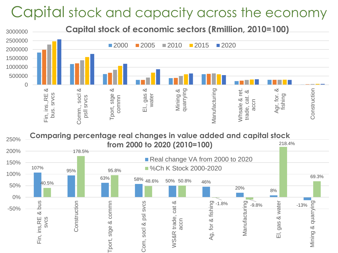### Capital stock and capacity across the economy



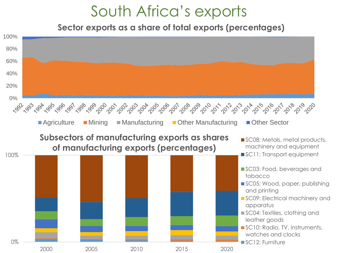### South Africa's exports

**Sector exports as a share of total exports (percentages)**

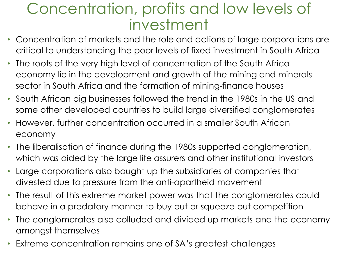### Concentration, profits and low levels of investment

- Concentration of markets and the role and actions of large corporations are critical to understanding the poor levels of fixed investment in South Africa
- The roots of the very high level of concentration of the South Africa economy lie in the development and growth of the mining and minerals sector in South Africa and the formation of mining-finance houses
- South African big businesses followed the trend in the 1980s in the US and some other developed countries to build large diversified conglomerates
- However, further concentration occurred in a smaller South African economy
- The liberalisation of finance during the 1980s supported conglomeration, which was aided by the large life assurers and other institutional investors
- Large corporations also bought up the subsidiaries of companies that divested due to pressure from the anti-apartheid movement
- The result of this extreme market power was that the conglomerates could behave in a predatory manner to buy out or squeeze out competition
- The conglomerates also colluded and divided up markets and the economy amongst themselves
- Extreme concentration remains one of SA's greatest challenges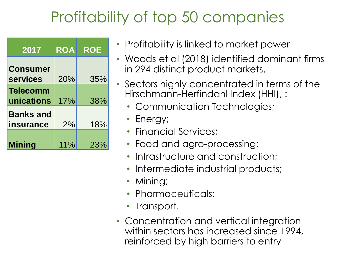## Profitability of top 50 companies

| 2017                               | <b>ROA</b> | <b>ROE</b> |  |
|------------------------------------|------------|------------|--|
| <b>Consumer</b><br><b>services</b> | 20%        | 35%        |  |
| <b>Telecomm</b><br>unications      | 17%        | 38%        |  |
| <b>Banks and</b><br>insurance      | 2%         | 18%        |  |
| <b>Mining</b>                      | 11%        | 23%        |  |

- Profitability is linked to market power
- Woods et al (2018) identified dominant firms in 294 distinct product markets.
- Sectors highly concentrated in terms of the Hirschmann-Herfindahl Index (HHI), :
	- Communication Technologies;
	- Energy;
	- Financial Services;
	- Food and agro-processing;
	- Infrastructure and construction:
	- Intermediate industrial products;
	- Mining;
	- Pharmaceuticals;
	- Transport.
- Concentration and vertical integration within sectors has increased since 1994, reinforced by high barriers to entry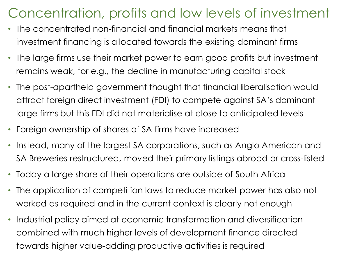### Concentration, profits and low levels of investment

- The concentrated non-financial and financial markets means that investment financing is allocated towards the existing dominant firms
- The large firms use their market power to earn good profits but investment remains weak, for e.g., the decline in manufacturing capital stock
- The post-apartheid government thought that financial liberalisation would attract foreign direct investment (FDI) to compete against SA's dominant large firms but this FDI did not materialise at close to anticipated levels
- Foreign ownership of shares of SA firms have increased
- Instead, many of the largest SA corporations, such as Anglo American and SA Breweries restructured, moved their primary listings abroad or cross-listed
- Today a large share of their operations are outside of South Africa
- The application of competition laws to reduce market power has also not worked as required and in the current context is clearly not enough
- Industrial policy aimed at economic transformation and diversification combined with much higher levels of development finance directed towards higher value-adding productive activities is required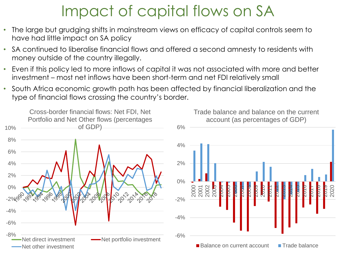### Impact of capital flows on SA

- The large but grudging shifts in mainstream views on efficacy of capital controls seem to have had little impact on SA policy
- SA continued to liberalise financial flows and offered a second amnesty to residents with money outside of the country illegally.
- Even if this policy led to more inflows of capital it was not associated with more and better investment – most net inflows have been short-term and net FDI relatively small
- South Africa economic growth path has been affected by financial liberalization and the type of financial flows crossing the country's border.

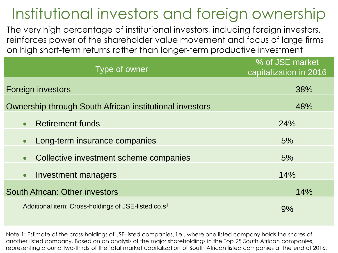## Institutional investors and foreign ownership

The very high percentage of institutional investors, including foreign investors, reinforces power of the shareholder value movement and focus of large firms on high short-term returns rather than longer-term productive investment

| Type of owner                                                   | % of JSE market<br>capitalization in 2016 |  |  |
|-----------------------------------------------------------------|-------------------------------------------|--|--|
| <b>Foreign investors</b>                                        | 38%                                       |  |  |
| Ownership through South African institutional investors         | 48%                                       |  |  |
| <b>Retirement funds</b>                                         | 24%                                       |  |  |
| Long-term insurance companies<br>$\bullet$                      | 5%                                        |  |  |
| Collective investment scheme companies<br>$\bullet$             | 5%                                        |  |  |
| Investment managers<br>$\bullet$                                | 14%                                       |  |  |
| South African: Other investors                                  | 14%                                       |  |  |
| Additional item: Cross-holdings of JSE-listed co.s <sup>1</sup> | 9%                                        |  |  |

Note 1: Estimate of the cross-holdings of JSE-listed companies, i.e., where one listed company holds the shares of another listed company. Based on an analysis of the major shareholdings in the Top 25 South African companies, representing around two-thirds of the total market capitalization of South African listed companies at the end of 2016.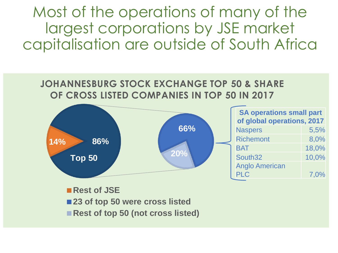Most of the operations of many of the largest corporations by JSE market capitalisation are outside of South Africa

#### **JOHANNESBURG STOCK EXCHANGE TOP 50 & SHARE OF CROSS LISTED COMPANIES IN TOP 50 IN 2017**



**Rest of JSE** ■ 23 of top 50 were cross listed ■ Rest of top 50 (not cross listed)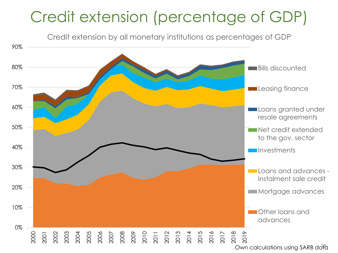## Credit extension (percentage of GDP)

Credit extension by all monetary institutions as percentages of GDP

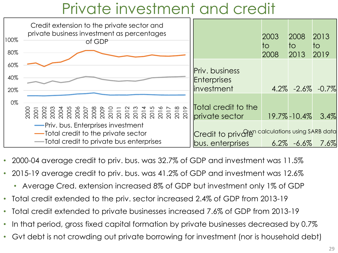### Private investment and credit

| 100%<br>80% | Credit extension to the private sector and<br>private business investment as percentages<br>of GDP |                                                 | 2003<br>to<br>2008 | 2008<br>to<br>2013 | 2013<br>to:<br>2019   |
|-------------|----------------------------------------------------------------------------------------------------|-------------------------------------------------|--------------------|--------------------|-----------------------|
| 60%         |                                                                                                    |                                                 |                    |                    |                       |
| 40%         |                                                                                                    | Priv. business<br><b>Enterprises</b>            |                    |                    |                       |
| 20%         |                                                                                                    | <i><b>linvestment</b></i>                       |                    |                    | $4.2\% -2.6\% -0.7\%$ |
|             |                                                                                                    |                                                 |                    |                    |                       |
| 0%          |                                                                                                    | Total credit to the                             |                    |                    |                       |
|             |                                                                                                    | private sector                                  |                    | $19.7\% - 10.4\%$  | 3.4%                  |
|             | -Priv. bus. Enterprises investment                                                                 |                                                 |                    |                    |                       |
|             | -Iotal credit to the private sector                                                                | Credit to privaten calculations using SARB data |                    |                    |                       |
|             | -Iotal credit to private bus enterprises                                                           | $ $ bus. enterprises $ $                        |                    | $6.2\% -6.6\%$     | $7.6\%$               |

- 2000-04 average credit to priv. bus. was 32.7% of GDP and investment was 11.5%
- 2015-19 average credit to priv. bus. was 41.2% of GDP and investment was 12.6%
	- Average Cred. extension increased 8% of GDP but investment only 1% of GDP
- Total credit extended to the priv. sector increased 2.4% of GDP from 2013-19
- Total credit extended to private businesses increased 7.6% of GDP from 2013-19
- In that period, gross fixed capital formation by private businesses decreased by 0.7%
- Gvt debt is not crowding out private borrowing for investment (nor is household debt)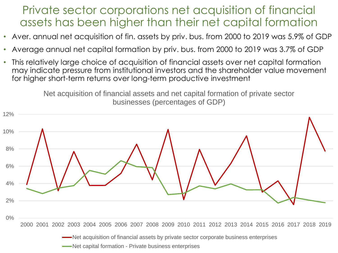#### Private sector corporations net acquisition of financial assets has been higher than their net capital formation

- Aver. annual net acquisition of fin. assets by priv. bus. from 2000 to 2019 was 5.9% of GDP
- Average annual net capital formation by priv. bus. from 2000 to 2019 was 3.7% of GDP
- This relatively large choice of acquisition of financial assets over net capital formation may indicate pressure from institutional investors and the shareholder value movement for higher short-term returns over long-term productive investment

Net acquisition of financial assets and net capital formation of private sector businesses (percentages of GDP)



**-**Net capital formation - Private business enterprises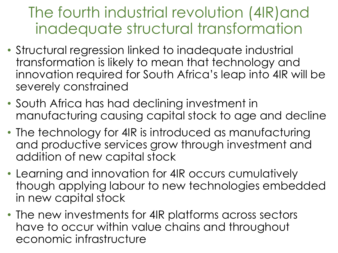The fourth industrial revolution (4IR) and inadequate structural transformation

- Structural regression linked to inadequate industrial transformation is likely to mean that technology and innovation required for South Africa's leap into 4IR will be severely constrained
- South Africa has had declining investment in manufacturing causing capital stock to age and decline
- The technology for 4IR is introduced as manufacturing and productive services grow through investment and addition of new capital stock
- Learning and innovation for 4IR occurs cumulatively though applying labour to new technologies embedded in new capital stock
- The new investments for 4IR platforms across sectors have to occur within value chains and throughout economic infrastructure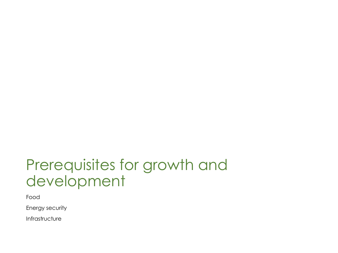### Prerequisites for growth and development

Food

Energy security

**Infrastructure**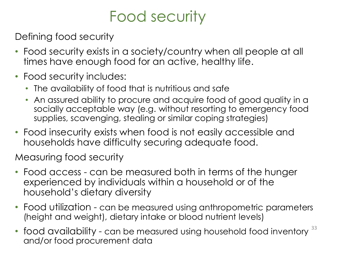### Food security

Defining food security

- Food security exists in a society/country when all people at all times have enough food for an active, healthy life.
- Food security includes:
	- The availability of food that is nutritious and safe
	- An assured ability to procure and acquire food of good quality in a socially acceptable way (e.g. without resorting to emergency food supplies, scavenging, stealing or similar coping strategies)
- Food insecurity exists when food is not easily accessible and households have difficulty securing adequate food.

Measuring food security

- Food access can be measured both in terms of the hunger experienced by individuals within a household or of the household's dietary diversity
- Food utilization can be measured using anthropometric parameters (height and weight), dietary intake or blood nutrient levels)
- food availability can be measured using household food inventory  $33$ and/or food procurement data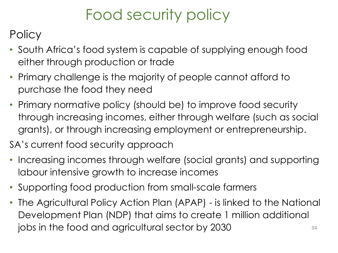## Food security policy

**Policy** 

- South Africa's food system is capable of supplying enough food either through production or trade
- Primary challenge is the majority of people cannot afford to purchase the food they need
- Primary normative policy (should be) to improve food security through increasing incomes, either through welfare (such as social grants), or through increasing employment or entrepreneurship.

#### SA's current food security approach

- Increasing incomes through welfare (social grants) and supporting labour intensive growth to increase incomes
- Supporting food production from small-scale farmers
- The Agricultural Policy Action Plan (APAP) is linked to the National Development Plan (NDP) that aims to create 1 million additional jobs in the food and agricultural sector by  $2030$   $34$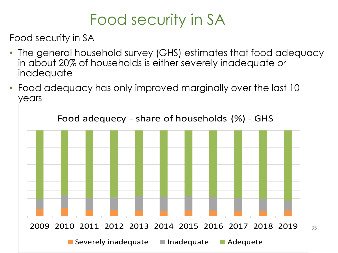### Food security in SA

Food security in SA

- The general household survey (GHS) estimates that food adequacy in about 20% of households is either severely inadequate or inadequate
- Food adequacy has only improved marginally over the last 10 years

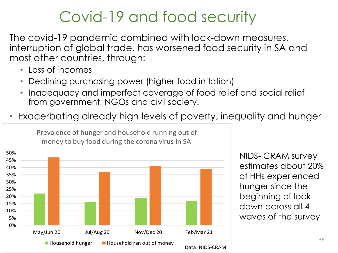### Covid-19 and food security

The covid-19 pandemic combined with lock-down measures, interruption of global trade, has worsened food security in SA and most other countries, through:

- Loss of incomes
- Declining purchasing power (higher food inflation)
- Inadequacy and imperfect coverage of food relief and social relief from government, NGOs and civil society.
- Exacerbating already high levels of poverty, inequality and hunger



Prevalence of hunger and household running out of

NIDS- CRAM survey estimates about 20% of HHs experienced hunger since the beginning of lock down across all 4 waves of the survey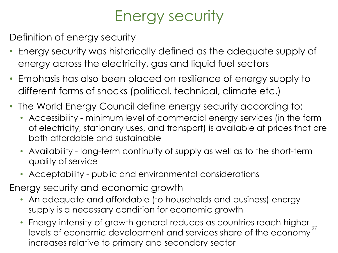## Energy security

Definition of energy security

- Energy security was historically defined as the adequate supply of energy across the electricity, gas and liquid fuel sectors
- Emphasis has also been placed on resilience of energy supply to different forms of shocks (political, technical, climate etc.)
- The World Energy Council define energy security according to:
	- Accessibility minimum level of commercial energy services (in the form of electricity, stationary uses, and transport) is available at prices that are both affordable and sustainable
	- Availability long-term continuity of supply as well as to the short-term quality of service
	- Acceptability public and environmental considerations

Energy security and economic growth

- An adequate and affordable (to households and business) energy supply is a necessary condition for economic growth
- Energy-intensity of growth general reduces as countries reach higher levels of economic development and services share of the economy increases relative to primary and secondary sector 37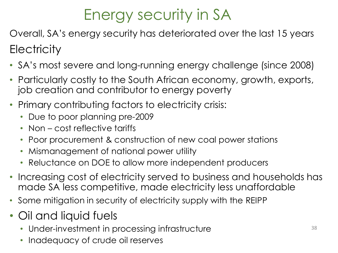## Energy security in SA

Overall, SA's energy security has deteriorated over the last 15 years **Electricity** 

- SA's most severe and long-running energy challenge (since 2008)
- Particularly costly to the South African economy, growth, exports, job creation and contributor to energy poverty
- Primary contributing factors to electricity crisis:
	- Due to poor planning pre-2009
	- Non cost reflective tariffs
	- Poor procurement & construction of new coal power stations
	- Mismanagement of national power utility
	- Reluctance on DOE to allow more independent producers
- Increasing cost of electricity served to business and households has made SA less competitive, made electricity less unaffordable
- Some mitigation in security of electricity supply with the REIPP
- Oil and liquid fuels
	- Under-investment in processing infrastructure
	- Inadequacy of crude oil reserves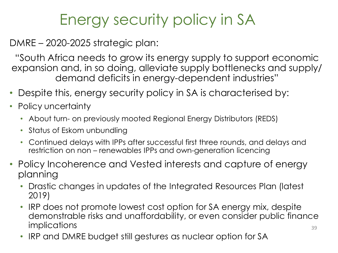## Energy security policy in SA

DMRE – 2020-2025 strategic plan:

"South Africa needs to grow its energy supply to support economic expansion and, in so doing, alleviate supply bottlenecks and supply/ demand deficits in energy-dependent industries"

- Despite this, energy security policy in SA is characterised by:
- Policy uncertainty
	- About turn- on previously mooted Regional Energy Distributors (REDS)
	- Status of Eskom unbundling
	- Continued delays with IPPs after successful first three rounds, and delays and restriction on non – renewables IPPs and own-generation licencing
- Policy Incoherence and Vested interests and capture of energy planning
	- Drastic changes in updates of the Integrated Resources Plan (latest 2019)
	- IRP does not promote lowest cost option for SA energy mix, despite demonstrable risks and unaffordability, or even consider public finance implications 39
	- IRP and DMRE budget still gestures as nuclear option for SA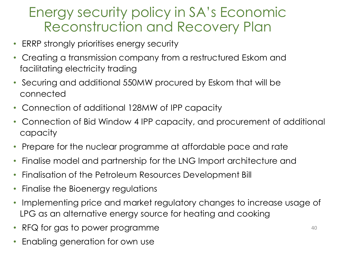### Energy security policy in SA's Economic Reconstruction and Recovery Plan

- ERRP strongly prioritises energy security
- Creating a transmission company from a restructured Eskom and facilitating electricity trading
- Securing and additional 550MW procured by Eskom that will be connected
- Connection of additional 128MW of IPP capacity
- Connection of Bid Window 4 IPP capacity, and procurement of additional capacity
- Prepare for the nuclear programme at affordable pace and rate
- Finalise model and partnership for the LNG Import architecture and
- Finalisation of the Petroleum Resources Development Bill
- Finalise the Bioenergy regulations
- Implementing price and market regulatory changes to increase usage of LPG as an alternative energy source for heating and cooking
- RFQ for gas to power programme
- Enabling generation for own use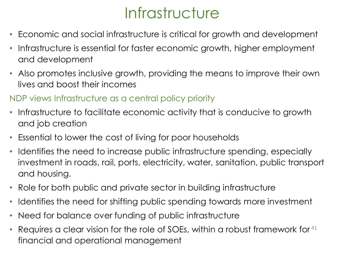### **Infrastructure**

- Economic and social infrastructure is critical for growth and development
- Infrastructure is essential for faster economic growth, higher employment and development
- Also promotes inclusive growth, providing the means to improve their own lives and boost their incomes

#### NDP views Infrastructure as a central policy priority

- Infrastructure to facilitate economic activity that is conducive to growth and job creation
- Essential to lower the cost of living for poor households
- Identifies the need to increase public infrastructure spending, especially investment in roads, rail, ports, electricity, water, sanitation, public transport and housing.
- Role for both public and private sector in building infrastructure
- Identifies the need for shifting public spending towards more investment
- Need for balance over funding of public infrastructure
- Requires a clear vision for the role of SOEs, within a robust framework for <sup>41</sup> financial and operational management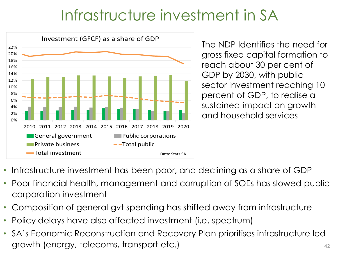## Infrastructure investment in SA



The NDP Identifies the need for gross fixed capital formation to reach about 30 per cent of GDP by 2030, with public sector investment reaching 10 percent of GDP, to realise a sustained impact on growth and household services

- Infrastructure investment has been poor, and declining as a share of GDP
- Poor financial health, management and corruption of SOEs has slowed public corporation investment
- Composition of general gvt spending has shifted away from infrastructure
- Policy delays have also affected investment (i.e. spectrum)
- SA's Economic Reconstruction and Recovery Plan prioritises infrastructure ledgrowth (energy, telecoms, transport etc.)  $\qquad \qquad \text{42}$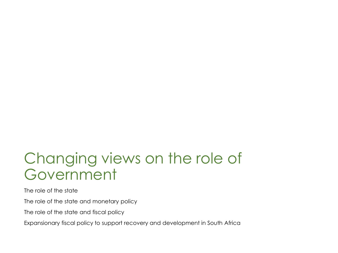### Changing views on the role of Government

The role of the state

The role of the state and monetary policy

The role of the state and fiscal policy

Expansionary fiscal policy to support recovery and development in South Africa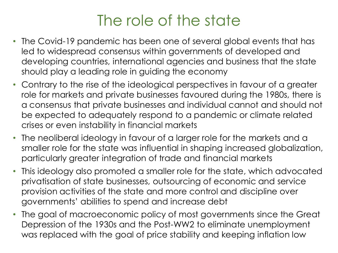### The role of the state

- The Covid-19 pandemic has been one of several global events that has led to widespread consensus within governments of developed and developing countries, international agencies and business that the state should play a leading role in guiding the economy
- Contrary to the rise of the ideological perspectives in favour of a greater role for markets and private businesses favoured during the 1980s, there is a consensus that private businesses and individual cannot and should not be expected to adequately respond to a pandemic or climate related crises or even instability in financial markets
- The neoliberal ideology in favour of a larger role for the markets and a smaller role for the state was influential in shaping increased globalization, particularly greater integration of trade and financial markets
- This ideology also promoted a smaller role for the state, which advocated privatisation of state businesses, outsourcing of economic and service provision activities of the state and more control and discipline over governments' abilities to spend and increase debt
- The goal of macroeconomic policy of most governments since the Great Depression of the 1930s and the Post-WW2 to eliminate unemployment was replaced with the goal of price stability and keeping inflation low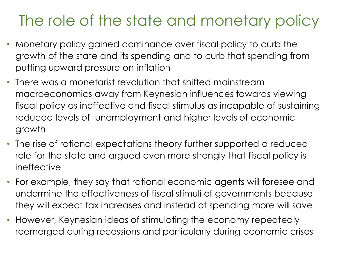### The role of the state and monetary policy

- Monetary policy gained dominance over fiscal policy to curb the growth of the state and its spending and to curb that spending from putting upward pressure on inflation
- There was a monetarist revolution that shifted mainstream macroeconomics away from Keynesian influences towards viewing fiscal policy as ineffective and fiscal stimulus as incapable of sustaining reduced levels of unemployment and higher levels of economic growth
- The rise of rational expectations theory further supported a reduced role for the state and argued even more strongly that fiscal policy is ineffective
- For example, they say that rational economic agents will foresee and undermine the effectiveness of fiscal stimuli of governments because they will expect tax increases and instead of spending more will save
- However, Keynesian ideas of stimulating the economy repeatedly reemerged during recessions and particularly during economic crises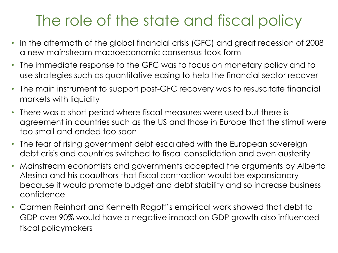- In the aftermath of the global financial crisis (GFC) and great recession of 2008 a new mainstream macroeconomic consensus took form
- The immediate response to the GFC was to focus on monetary policy and to use strategies such as quantitative easing to help the financial sector recover
- The main instrument to support post-GFC recovery was to resuscitate financial markets with liquidity
- There was a short period where fiscal measures were used but there is agreement in countries such as the US and those in Europe that the stimuli were too small and ended too soon
- The fear of rising government debt escalated with the European sovereign debt crisis and countries switched to fiscal consolidation and even austerity
- Mainstream economists and governments accepted the arguments by Alberto Alesina and his coauthors that fiscal contraction would be expansionary because it would promote budget and debt stability and so increase business confidence
- Carmen Reinhart and Kenneth Rogoff's empirical work showed that debt to GDP over 90% would have a negative impact on GDP growth also influenced fiscal policymakers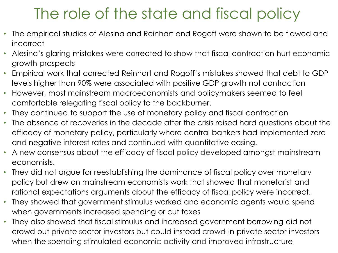- The empirical studies of Alesina and Reinhart and Rogoff were shown to be flawed and incorrect
- Alesina's glaring mistakes were corrected to show that fiscal contraction hurt economic growth prospects
- Empirical work that corrected Reinhart and Rogoff's mistakes showed that debt to GDP levels higher than 90% were associated with positive GDP growth not contraction
- However, most mainstream macroeconomists and policymakers seemed to feel comfortable relegating fiscal policy to the backburner.
- They continued to support the use of monetary policy and fiscal contraction
- The absence of recoveries in the decade after the crisis raised hard questions about the efficacy of monetary policy, particularly where central bankers had implemented zero and negative interest rates and continued with quantitative easing.
- A new consensus about the efficacy of fiscal policy developed amongst mainstream economists.
- They did not argue for reestablishing the dominance of fiscal policy over monetary policy but drew on mainstream economists work that showed that monetarist and rational expectations arguments about the efficacy of fiscal policy were incorrect.
- They showed that government stimulus worked and economic agents would spend when governments increased spending or cut taxes
- They also showed that fiscal stimulus and increased government borrowing did not crowd out private sector investors but could instead crowd-in private sector investors when the spending stimulated economic activity and improved infrastructure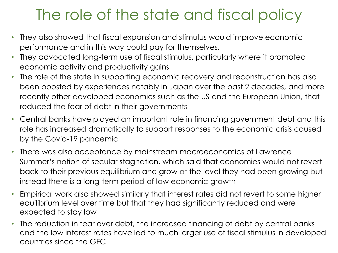- They also showed that fiscal expansion and stimulus would improve economic performance and in this way could pay for themselves.
- They advocated long-term use of fiscal stimulus, particularly where it promoted economic activity and productivity gains
- The role of the state in supporting economic recovery and reconstruction has also been boosted by experiences notably in Japan over the past 2 decades, and more recently other developed economies such as the US and the European Union, that reduced the fear of debt in their governments
- Central banks have played an important role in financing government debt and this role has increased dramatically to support responses to the economic crisis caused by the Covid-19 pandemic
- There was also acceptance by mainstream macroeconomics of Lawrence Summer's notion of secular stagnation, which said that economies would not revert back to their previous equilibrium and grow at the level they had been growing but instead there is a long-term period of low economic growth
- Empirical work also showed similarly that interest rates did not revert to some higher equilibrium level over time but that they had significantly reduced and were expected to stay low
- The reduction in fear over debt, the increased financing of debt by central banks and the low interest rates have led to much larger use of fiscal stimulus in developed countries since the GFC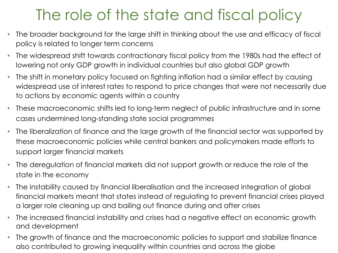- The broader background for the large shift in thinking about the use and efficacy of fiscal policy is related to longer term concerns
- The widespread shift towards contractionary fiscal policy from the 1980s had the effect of lowering not only GDP growth in individual countries but also global GDP growth
- The shift in monetary policy focused on fighting inflation had a similar effect by causing widespread use of interest rates to respond to price changes that were not necessarily due to actions by economic agents within a country
- These macroeconomic shifts led to long-term neglect of public infrastructure and in some cases undermined long-standing state social programmes
- The liberalization of finance and the large growth of the financial sector was supported by these macroeconomic policies while central bankers and policymakers made efforts to support larger financial markets
- The deregulation of financial markets did not support growth or reduce the role of the state in the economy
- The instability caused by financial liberalisation and the increased integration of global financial markets meant that states instead of regulating to prevent financial crises played a larger role cleaning up and bailing out finance during and after crises
- The increased financial instability and crises had a negative effect on economic growth and development
- The growth of finance and the macroeconomic policies to support and stabilize finance also contributed to growing inequality within countries and across the globe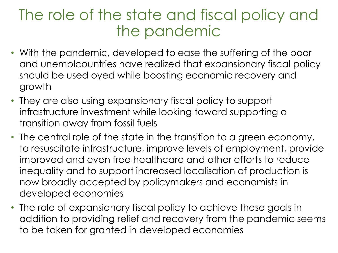### The role of the state and fiscal policy and the pandemic

- With the pandemic, developed to ease the suffering of the poor and unemplcountries have realized that expansionary fiscal policy should be used oyed while boosting economic recovery and growth
- They are also using expansionary fiscal policy to support infrastructure investment while looking toward supporting a transition away from fossil fuels
- The central role of the state in the transition to a green economy, to resuscitate infrastructure, improve levels of employment, provide improved and even free healthcare and other efforts to reduce inequality and to support increased localisation of production is now broadly accepted by policymakers and economists in developed economies
- The role of expansionary fiscal policy to achieve these goals in addition to providing relief and recovery from the pandemic seems to be taken for granted in developed economies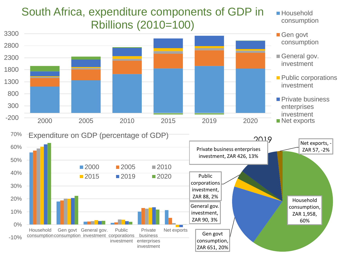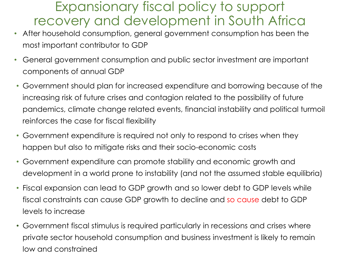#### Expansionary fiscal policy to support recovery and development in South Africa

- After household consumption, general government consumption has been the most important contributor to GDP
- General government consumption and public sector investment are important components of annual GDP
- Government should plan for increased expenditure and borrowing because of the increasing risk of future crises and contagion related to the possibility of future pandemics, climate change related events, financial instability and political turmoil reinforces the case for fiscal flexibility
- Government expenditure is required not only to respond to crises when they happen but also to mitigate risks and their socio-economic costs
- Government expenditure can promote stability and economic growth and development in a world prone to instability (and not the assumed stable equilibria)
- Fiscal expansion can lead to GDP growth and so lower debt to GDP levels while fiscal constraints can cause GDP growth to decline and so cause debt to GDP levels to increase
- Government fiscal stimulus is required particularly in recessions and crises where private sector household consumption and business investment is likely to remain low and constrained